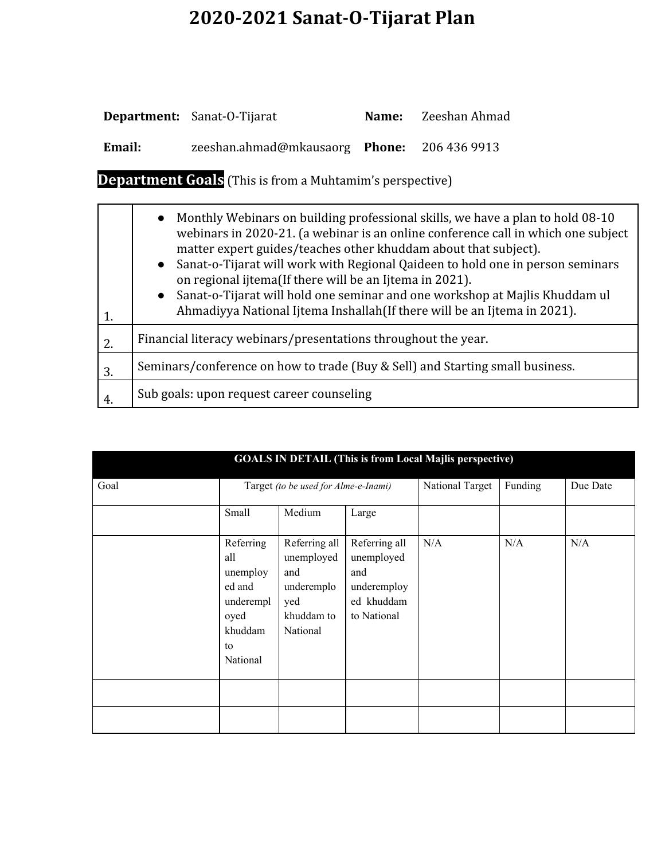# **2020-2021 Sanat-O-Tijarat Plan**

|        | <b>Department:</b> Sanat-O-Tijarat          | Name: Zeeshan Ahmad |
|--------|---------------------------------------------|---------------------|
| Email: | zeeshan.ahmad@mkausaorg Phone: 206 436 9913 |                     |

**Department Goals** (This is from a Muhtamim's perspective)

| 1.  | Monthly Webinars on building professional skills, we have a plan to hold 08-10<br>$\bullet$<br>webinars in 2020-21. (a webinar is an online conference call in which one subject<br>matter expert guides/teaches other khuddam about that subject).<br>Sanat-o-Tijarat will work with Regional Qaideen to hold one in person seminars<br>$\bullet$<br>on regional ijtema(If there will be an Ijtema in 2021).<br>Sanat-o-Tijarat will hold one seminar and one workshop at Majlis Khuddam ul<br>$\bullet$<br>Ahmadiyya National Ijtema Inshallah (If there will be an Ijtema in 2021). |  |  |
|-----|----------------------------------------------------------------------------------------------------------------------------------------------------------------------------------------------------------------------------------------------------------------------------------------------------------------------------------------------------------------------------------------------------------------------------------------------------------------------------------------------------------------------------------------------------------------------------------------|--|--|
| 2.  | Financial literacy webinars/presentations throughout the year.                                                                                                                                                                                                                                                                                                                                                                                                                                                                                                                         |  |  |
| 3.  | Seminars/conference on how to trade (Buy & Sell) and Starting small business.                                                                                                                                                                                                                                                                                                                                                                                                                                                                                                          |  |  |
| -4. | Sub goals: upon request career counseling                                                                                                                                                                                                                                                                                                                                                                                                                                                                                                                                              |  |  |

| <b>GOALS IN DETAIL (This is from Local Majlis perspective)</b> |                                                                                          |                                                                                   |                                                                                |         |          |     |
|----------------------------------------------------------------|------------------------------------------------------------------------------------------|-----------------------------------------------------------------------------------|--------------------------------------------------------------------------------|---------|----------|-----|
| Goal                                                           | Target (to be used for Alme-e-Inami)                                                     |                                                                                   | National Target                                                                | Funding | Due Date |     |
|                                                                | Small                                                                                    | Medium                                                                            | Large                                                                          |         |          |     |
|                                                                | Referring<br>all<br>unemploy<br>ed and<br>underempl<br>oyed<br>khuddam<br>to<br>National | Referring all<br>unemployed<br>and<br>underemplo<br>yed<br>khuddam to<br>National | Referring all<br>unemployed<br>and<br>underemploy<br>ed khuddam<br>to National | N/A     | N/A      | N/A |
|                                                                |                                                                                          |                                                                                   |                                                                                |         |          |     |
|                                                                |                                                                                          |                                                                                   |                                                                                |         |          |     |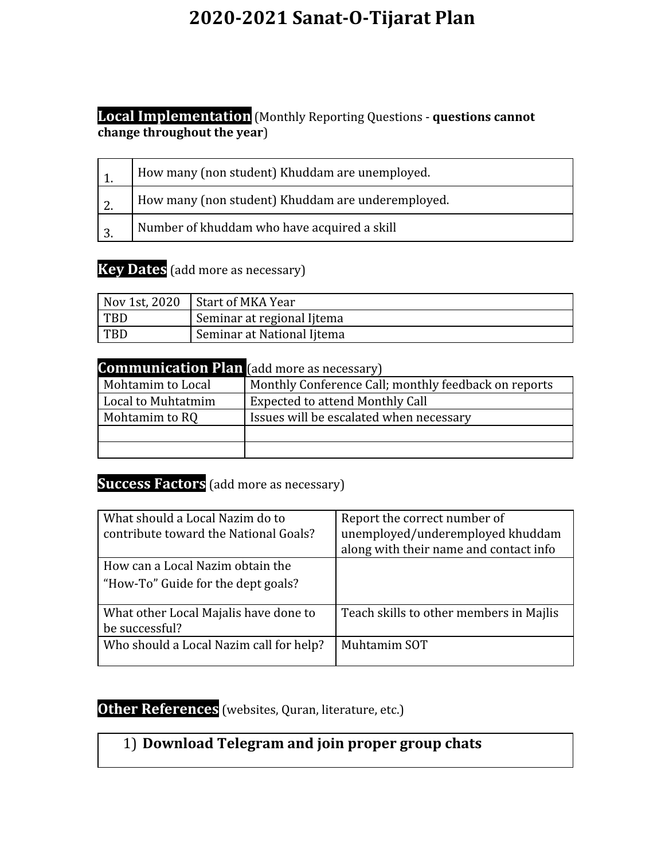## **2020-2021 Sanat-O-Tijarat Plan**

#### **Local Implementation** (Monthly Reporting Questions - **questions cannot change throughout the year**)

|    | How many (non student) Khuddam are unemployed.    |
|----|---------------------------------------------------|
| 2. | How many (non student) Khuddam are underemployed. |
| 3. | Number of khuddam who have acquired a skill       |

#### **Key Dates** (add more as necessary)

|            | $\vert$ Nov 1st, 2020 $\vert$ Start of MKA Year |
|------------|-------------------------------------------------|
| <b>TBD</b> | Seminar at regional Ijtema                      |
| <b>TBD</b> | Seminar at National Ijtema                      |

| <b>Communication Plan</b> (add more as necessary) |                                                      |
|---------------------------------------------------|------------------------------------------------------|
| Mohtamim to Local                                 | Monthly Conference Call; monthly feedback on reports |
| Local to Muhtatmim                                | <b>Expected to attend Monthly Call</b>               |
| Mohtamim to RQ                                    | Issues will be escalated when necessary              |
|                                                   |                                                      |
|                                                   |                                                      |

#### **Success Factors** (add more as necessary)

| What should a Local Nazim do to<br>contribute toward the National Goals? | Report the correct number of<br>unemployed/underemployed khuddam<br>along with their name and contact info |
|--------------------------------------------------------------------------|------------------------------------------------------------------------------------------------------------|
| How can a Local Nazim obtain the                                         |                                                                                                            |
| "How-To" Guide for the dept goals?                                       |                                                                                                            |
| What other Local Majalis have done to                                    | Teach skills to other members in Majlis                                                                    |
| be successful?                                                           |                                                                                                            |
| Who should a Local Nazim call for help?                                  | Muhtamim SOT                                                                                               |

### **Other References** (websites, Quran, literature, etc.)

### 1) **Download Telegram and join proper group chats**